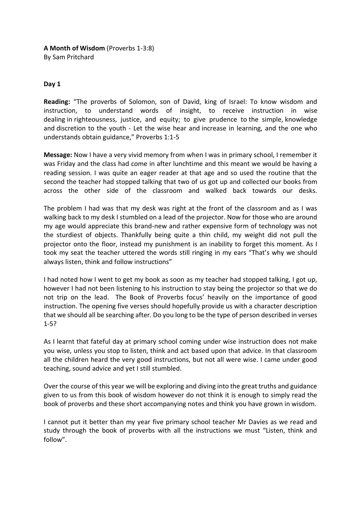# **A Month of Wisdom** (Proverbs 1-3:8)

By Sam Pritchard

# **Day 1**

**Reading:** "The proverbs of Solomon, son of David, king of Israel: To know wisdom and instruction, to understand words of insight, to receive instruction in wise dealing in righteousness, justice, and equity; to give prudence to the simple, knowledge and discretion to the youth - Let the wise hear and increase in learning, and the one who understands obtain guidance," Proverbs 1:1-5

**Message:** Now I have a very vivid memory from when I was in primary school, I remember it was Friday and the class had come in after lunchtime and this meant we would be having a reading session. I was quite an eager reader at that age and so used the routine that the second the teacher had stopped talking that two of us got up and collected our books from across the other side of the classroom and walked back towards our desks.

The problem I had was that my desk was right at the front of the classroom and as I was walking back to my desk I stumbled on a lead of the projector. Now for those who are around my age would appreciate this brand-new and rather expensive form of technology was not the sturdiest of objects. Thankfully being quite a thin child, my weight did not pull the projector onto the floor, instead my punishment is an inability to forget this moment. As I took my seat the teacher uttered the words still ringing in my ears "That's why we should always listen, think and follow instructions"

I had noted how I went to get my book as soon as my teacher had stopped talking, I got up, however I had not been listening to his instruction to stay being the projector so that we do not trip on the lead. The Book of Proverbs focus' heavily on the importance of good instruction. The opening five verses should hopefully provide us with a character description that we should all be searching after. Do you long to be the type of person described in verses 1-5?

As I learnt that fateful day at primary school coming under wise instruction does not make you wise, unless you stop to listen, think and act based upon that advice. In that classroom all the children heard the very good instructions, but not all were wise. I came under good teaching, sound advice and yet I still stumbled.

Over the course of this year we will be exploring and diving into the great truths and guidance given to us from this book of wisdom however do not think it is enough to simply read the book of proverbs and these short accompanying notes and think you have grown in wisdom.

I cannot put it better than my year five primary school teacher Mr Davies as we read and study through the book of proverbs with all the instructions we must "Listen, think and follow".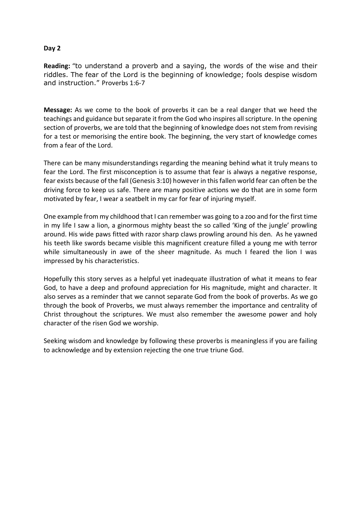**Reading:** "to understand a proverb and a saying, the words of the wise and their riddles. The fear of the Lord is the beginning of knowledge; fools despise wisdom and instruction." Proverbs 1:6-7

**Message:** As we come to the book of proverbs it can be a real danger that we heed the teachings and guidance but separate it from the God who inspires all scripture. In the opening section of proverbs, we are told that the beginning of knowledge does not stem from revising for a test or memorising the entire book. The beginning, the very start of knowledge comes from a fear of the Lord.

There can be many misunderstandings regarding the meaning behind what it truly means to fear the Lord. The first misconception is to assume that fear is always a negative response, fear exists because of the fall (Genesis 3:10) however in this fallen world fear can often be the driving force to keep us safe. There are many positive actions we do that are in some form motivated by fear, I wear a seatbelt in my car for fear of injuring myself.

One example from my childhood that I can remember was going to a zoo and for the first time in my life I saw a lion, a ginormous mighty beast the so called 'King of the jungle' prowling around. His wide paws fitted with razor sharp claws prowling around his den. As he yawned his teeth like swords became visible this magnificent creature filled a young me with terror while simultaneously in awe of the sheer magnitude. As much I feared the lion I was impressed by his characteristics.

Hopefully this story serves as a helpful yet inadequate illustration of what it means to fear God, to have a deep and profound appreciation for His magnitude, might and character. It also serves as a reminder that we cannot separate God from the book of proverbs. As we go through the book of Proverbs, we must always remember the importance and centrality of Christ throughout the scriptures. We must also remember the awesome power and holy character of the risen God we worship.

Seeking wisdom and knowledge by following these proverbs is meaningless if you are failing to acknowledge and by extension rejecting the one true triune God.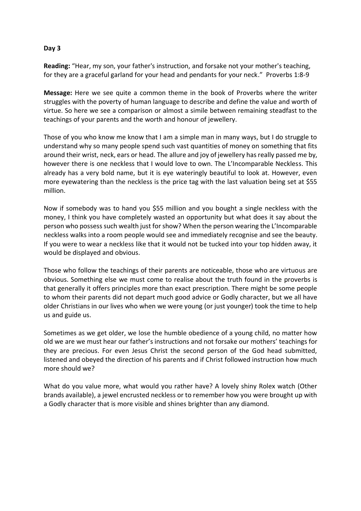**Reading:** "Hear, my son, your father's instruction, and forsake not your mother's teaching, for they are a graceful garland for your head and pendants for your neck." Proverbs 1:8-9

**Message:** Here we see quite a common theme in the book of Proverbs where the writer struggles with the poverty of human language to describe and define the value and worth of virtue. So here we see a comparison or almost a simile between remaining steadfast to the teachings of your parents and the worth and honour of jewellery.

Those of you who know me know that I am a simple man in many ways, but I do struggle to understand why so many people spend such vast quantities of money on something that fits around their wrist, neck, ears or head. The allure and joy of jewellery has really passed me by, however there is one neckless that I would love to own. The L'Incomparable Neckless. This already has a very bold name, but it is eye wateringly beautiful to look at. However, even more eyewatering than the neckless is the price tag with the last valuation being set at \$55 million.

Now if somebody was to hand you \$55 million and you bought a single neckless with the money, I think you have completely wasted an opportunity but what does it say about the person who possess such wealth just for show? When the person wearing the L'Incomparable neckless walks into a room people would see and immediately recognise and see the beauty. If you were to wear a neckless like that it would not be tucked into your top hidden away, it would be displayed and obvious.

Those who follow the teachings of their parents are noticeable, those who are virtuous are obvious. Something else we must come to realise about the truth found in the proverbs is that generally it offers principles more than exact prescription. There might be some people to whom their parents did not depart much good advice or Godly character, but we all have older Christians in our lives who when we were young (or just younger) took the time to help us and guide us.

Sometimes as we get older, we lose the humble obedience of a young child, no matter how old we are we must hear our father's instructions and not forsake our mothers' teachings for they are precious. For even Jesus Christ the second person of the God head submitted, listened and obeyed the direction of his parents and if Christ followed instruction how much more should we?

What do you value more, what would you rather have? A lovely shiny Rolex watch (Other brands available), a jewel encrusted neckless or to remember how you were brought up with a Godly character that is more visible and shines brighter than any diamond.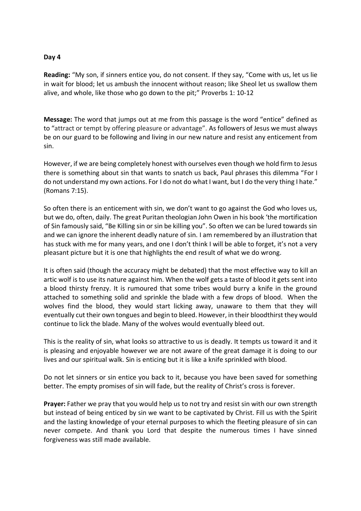**Reading:** "My son, if sinners entice you, do not consent. If they say, "Come with us, let us lie in wait for blood; let us ambush the innocent without reason; like Sheol let us swallow them alive, and whole, like those who go down to the pit;" Proverbs 1: 10-12

**Message:** The word that jumps out at me from this passage is the word "entice" defined as to "attract or tempt by offering pleasure or advantage". As followers of Jesus we must always be on our guard to be following and living in our new nature and resist any enticement from sin.

However, if we are being completely honest with ourselves even though we hold firm to Jesus there is something about sin that wants to snatch us back, Paul phrases this dilemma "For I do not understand my own actions. For I do not do what I want, but I do the very thing I hate." (Romans 7:15).

So often there is an enticement with sin, we don't want to go against the God who loves us, but we do, often, daily. The great Puritan theologian John Owen in his book 'the mortification of Sin famously said, "Be Killing sin or sin be killing you". So often we can be lured towards sin and we can ignore the inherent deadly nature of sin. I am remembered by an illustration that has stuck with me for many years, and one I don't think I will be able to forget, it's not a very pleasant picture but it is one that highlights the end result of what we do wrong.

It is often said (though the accuracy might be debated) that the most effective way to kill an artic wolf is to use its nature against him. When the wolf gets a taste of blood it gets sent into a blood thirsty frenzy. It is rumoured that some tribes would burry a knife in the ground attached to something solid and sprinkle the blade with a few drops of blood. When the wolves find the blood, they would start licking away, unaware to them that they will eventually cut their own tongues and begin to bleed. However, in their bloodthirst they would continue to lick the blade. Many of the wolves would eventually bleed out.

This is the reality of sin, what looks so attractive to us is deadly. It tempts us toward it and it is pleasing and enjoyable however we are not aware of the great damage it is doing to our lives and our spiritual walk. Sin is enticing but it is like a knife sprinkled with blood.

Do not let sinners or sin entice you back to it, because you have been saved for something better. The empty promises of sin will fade, but the reality of Christ's cross is forever.

**Prayer:** Father we pray that you would help us to not try and resist sin with our own strength but instead of being enticed by sin we want to be captivated by Christ. Fill us with the Spirit and the lasting knowledge of your eternal purposes to which the fleeting pleasure of sin can never compete. And thank you Lord that despite the numerous times I have sinned forgiveness was still made available.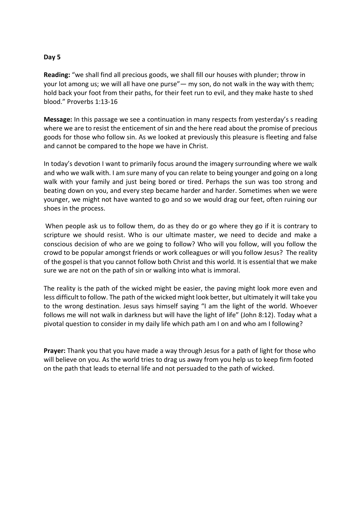**Reading:** "we shall find all precious goods, we shall fill our houses with plunder; throw in your lot among us; we will all have one purse"— my son, do not walk in the way with them; hold back your foot from their paths, for their feet run to evil, and they make haste to shed blood." Proverbs 1:13-16

**Message:** In this passage we see a continuation in many respects from yesterday's s reading where we are to resist the enticement of sin and the here read about the promise of precious goods for those who follow sin. As we looked at previously this pleasure is fleeting and false and cannot be compared to the hope we have in Christ.

In today's devotion I want to primarily focus around the imagery surrounding where we walk and who we walk with. I am sure many of you can relate to being younger and going on a long walk with your family and just being bored or tired. Perhaps the sun was too strong and beating down on you, and every step became harder and harder. Sometimes when we were younger, we might not have wanted to go and so we would drag our feet, often ruining our shoes in the process.

When people ask us to follow them, do as they do or go where they go if it is contrary to scripture we should resist. Who is our ultimate master, we need to decide and make a conscious decision of who are we going to follow? Who will you follow, will you follow the crowd to be popular amongst friends or work colleagues or will you follow Jesus? The reality of the gospel is that you cannot follow both Christ and this world. It is essential that we make sure we are not on the path of sin or walking into what is immoral.

The reality is the path of the wicked might be easier, the paving might look more even and less difficult to follow. The path of the wicked might look better, but ultimately it will take you to the wrong destination. Jesus says himself saying "I am the light of the world. Whoever follows me will not walk in darkness but will have the light of life" (John 8:12). Today what a pivotal question to consider in my daily life which path am I on and who am I following?

**Prayer:** Thank you that you have made a way through Jesus for a path of light for those who will believe on you. As the world tries to drag us away from you help us to keep firm footed on the path that leads to eternal life and not persuaded to the path of wicked.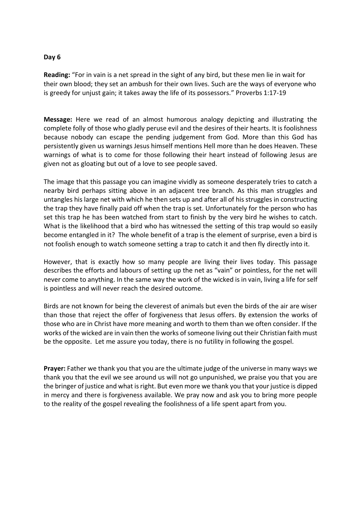**Reading:** "For in vain is a net spread in the sight of any bird, but these men lie in wait for their own blood; they set an ambush for their own lives. Such are the ways of everyone who is greedy for unjust gain; it takes away the life of its possessors." Proverbs 1:17-19

**Message:** Here we read of an almost humorous analogy depicting and illustrating the complete folly of those who gladly peruse evil and the desires of their hearts. It is foolishness because nobody can escape the pending judgement from God. More than this God has persistently given us warnings Jesus himself mentions Hell more than he does Heaven. These warnings of what is to come for those following their heart instead of following Jesus are given not as gloating but out of a love to see people saved.

The image that this passage you can imagine vividly as someone desperately tries to catch a nearby bird perhaps sitting above in an adjacent tree branch. As this man struggles and untangles his large net with which he then sets up and after all of his struggles in constructing the trap they have finally paid off when the trap is set. Unfortunately for the person who has set this trap he has been watched from start to finish by the very bird he wishes to catch. What is the likelihood that a bird who has witnessed the setting of this trap would so easily become entangled in it? The whole benefit of a trap is the element of surprise, even a bird is not foolish enough to watch someone setting a trap to catch it and then fly directly into it.

However, that is exactly how so many people are living their lives today. This passage describes the efforts and labours of setting up the net as "vain" or pointless, for the net will never come to anything. In the same way the work of the wicked is in vain, living a life for self is pointless and will never reach the desired outcome.

Birds are not known for being the cleverest of animals but even the birds of the air are wiser than those that reject the offer of forgiveness that Jesus offers. By extension the works of those who are in Christ have more meaning and worth to them than we often consider. If the works of the wicked are in vain then the works of someone living out their Christian faith must be the opposite. Let me assure you today, there is no futility in following the gospel.

**Prayer:** Father we thank you that you are the ultimate judge of the universe in many ways we thank you that the evil we see around us will not go unpunished, we praise you that you are the bringer of justice and what is right. But even more we thank you that your justice is dipped in mercy and there is forgiveness available. We pray now and ask you to bring more people to the reality of the gospel revealing the foolishness of a life spent apart from you.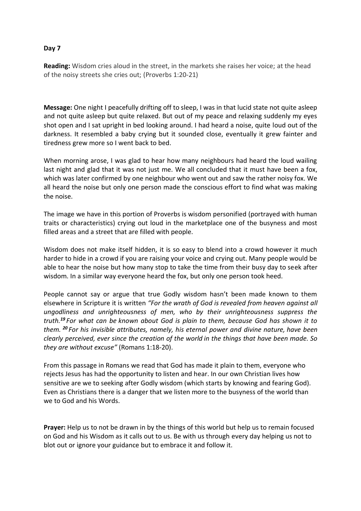**Reading:** Wisdom cries aloud in the street, in the markets she raises her voice; at the head of the noisy streets she cries out; (Proverbs 1:20-21)

**Message:** One night I peacefully drifting off to sleep, I was in that lucid state not quite asleep and not quite asleep but quite relaxed. But out of my peace and relaxing suddenly my eyes shot open and I sat upright in bed looking around. I had heard a noise, quite loud out of the darkness. It resembled a baby crying but it sounded close, eventually it grew fainter and tiredness grew more so I went back to bed.

When morning arose, I was glad to hear how many neighbours had heard the loud wailing last night and glad that it was not just me. We all concluded that it must have been a fox, which was later confirmed by one neighbour who went out and saw the rather noisy fox. We all heard the noise but only one person made the conscious effort to find what was making the noise.

The image we have in this portion of Proverbs is wisdom personified (portrayed with human traits or characteristics) crying out loud in the marketplace one of the busyness and most filled areas and a street that are filled with people.

Wisdom does not make itself hidden, it is so easy to blend into a crowd however it much harder to hide in a crowd if you are raising your voice and crying out. Many people would be able to hear the noise but how many stop to take the time from their busy day to seek after wisdom. In a similar way everyone heard the fox, but only one person took heed.

People cannot say or argue that true Godly wisdom hasn't been made known to them elsewhere in Scripture it is written *"For the wrath of God is revealed from heaven against all ungodliness and unrighteousness of men, who by their unrighteousness suppress the truth.<sup>19</sup> For what can be known about God is plain to them, because God has shown it to them. <sup>20</sup> For his invisible attributes, namely, his eternal power and divine nature, have been clearly perceived, ever since the creation of the world in the things that have been made. So they are without excuse"* (Romans 1:18-20).

From this passage in Romans we read that God has made it plain to them, everyone who rejects Jesus has had the opportunity to listen and hear. In our own Christian lives how sensitive are we to seeking after Godly wisdom (which starts by knowing and fearing God). Even as Christians there is a danger that we listen more to the busyness of the world than we to God and his Words.

**Prayer:** Help us to not be drawn in by the things of this world but help us to remain focused on God and his Wisdom as it calls out to us. Be with us through every day helping us not to blot out or ignore your guidance but to embrace it and follow it.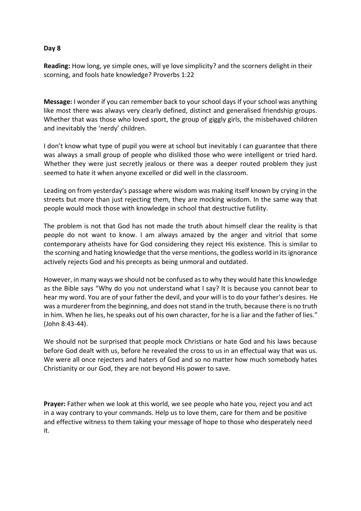**Reading:** How long, ye simple ones, will ye love simplicity? and the scorners delight in their scorning, and fools hate knowledge? Proverbs 1:22

**Message:** I wonder if you can remember back to your school days If your school was anything like most there was always very clearly defined, distinct and generalised friendship groups. Whether that was those who loved sport, the group of giggly girls, the misbehaved children and inevitably the 'nerdy' children.

I don't know what type of pupil you were at school but inevitably I can guarantee that there was always a small group of people who disliked those who were intelligent or tried hard. Whether they were just secretly jealous or there was a deeper routed problem they just seemed to hate it when anyone excelled or did well in the classroom.

Leading on from yesterday's passage where wisdom was making itself known by crying in the streets but more than just rejecting them, they are mocking wisdom. In the same way that people would mock those with knowledge in school that destructive futility.

The problem is not that God has not made the truth about himself clear the reality is that people do not want to know. I am always amazed by the anger and vitriol that some contemporary atheists have for God considering they reject His existence. This is similar to the scorning and hating knowledge that the verse mentions, the godless world in its ignorance actively rejects God and his precepts as being unmoral and outdated.

However, in many ways we should not be confused as to why they would hate this knowledge as the Bible says "Why do you not understand what I say? It is because you cannot bear to hear my word. You are of your father the devil, and your will is to do your father's desires. He was a murderer from the beginning, and does not stand in the truth, because there is no truth in him. When he lies, he speaks out of his own character, for he is a liar and the father of lies." (John 8:43-44).

We should not be surprised that people mock Christians or hate God and his laws because before God dealt with us, before he revealed the cross to us in an effectual way that was us. We were all once rejecters and haters of God and so no matter how much somebody hates Christianity or our God, they are not beyond His power to save.

**Prayer:** Father when we look at this world, we see people who hate you, reject you and act in a way contrary to your commands. Help us to love them, care for them and be positive and effective witness to them taking your message of hope to those who desperately need it.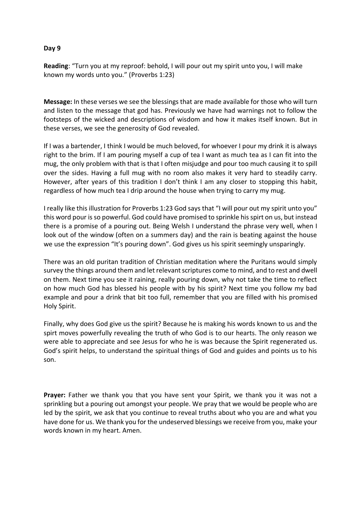**Reading**: "Turn you at my reproof: behold, I will pour out my spirit unto you, I will make known my words unto you." (Proverbs 1:23)

**Message:** In these verses we see the blessings that are made available for those who will turn and listen to the message that god has. Previously we have had warnings not to follow the footsteps of the wicked and descriptions of wisdom and how it makes itself known. But in these verses, we see the generosity of God revealed.

If I was a bartender, I think I would be much beloved, for whoever I pour my drink it is always right to the brim. If I am pouring myself a cup of tea I want as much tea as I can fit into the mug, the only problem with that is that I often misjudge and pour too much causing it to spill over the sides. Having a full mug with no room also makes it very hard to steadily carry. However, after years of this tradition I don't think I am any closer to stopping this habit, regardless of how much tea I drip around the house when trying to carry my mug.

I really like this illustration for Proverbs 1:23 God says that "I will pour out my spirit unto you" this word pour is so powerful. God could have promised to sprinkle his spirt on us, but instead there is a promise of a pouring out. Being Welsh I understand the phrase very well, when I look out of the window (often on a summers day) and the rain is beating against the house we use the expression "It's pouring down". God gives us his spirit seemingly unsparingly.

There was an old puritan tradition of Christian meditation where the Puritans would simply survey the things around them and let relevant scriptures come to mind, and to rest and dwell on them. Next time you see it raining, really pouring down, why not take the time to reflect on how much God has blessed his people with by his spirit? Next time you follow my bad example and pour a drink that bit too full, remember that you are filled with his promised Holy Spirit.

Finally, why does God give us the spirit? Because he is making his words known to us and the spirt moves powerfully revealing the truth of who God is to our hearts. The only reason we were able to appreciate and see Jesus for who he is was because the Spirit regenerated us. God's spirit helps, to understand the spiritual things of God and guides and points us to his son.

**Prayer:** Father we thank you that you have sent your Spirit, we thank you it was not a sprinkling but a pouring out amongst your people. We pray that we would be people who are led by the spirit, we ask that you continue to reveal truths about who you are and what you have done for us. We thank you for the undeserved blessings we receive from you, make your words known in my heart. Amen.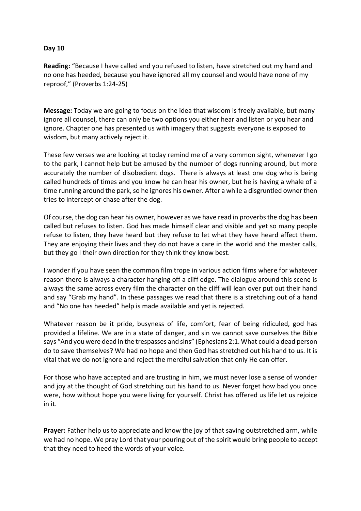**Reading:** "Because I have called and you refused to listen, have stretched out my hand and no one has heeded, because you have ignored all my counsel and would have none of my reproof," (Proverbs 1:24-25)

**Message:** Today we are going to focus on the idea that wisdom is freely available, but many ignore all counsel, there can only be two options you either hear and listen or you hear and ignore. Chapter one has presented us with imagery that suggests everyone is exposed to wisdom, but many actively reject it.

These few verses we are looking at today remind me of a very common sight, whenever I go to the park, I cannot help but be amused by the number of dogs running around, but more accurately the number of disobedient dogs. There is always at least one dog who is being called hundreds of times and you know he can hear his owner, but he is having a whale of a time running around the park, so he ignores his owner. After a while a disgruntled owner then tries to intercept or chase after the dog.

Of course, the dog can hear his owner, however as we have read in proverbs the dog has been called but refuses to listen. God has made himself clear and visible and yet so many people refuse to listen, they have heard but they refuse to let what they have heard affect them. They are enjoying their lives and they do not have a care in the world and the master calls, but they go I their own direction for they think they know best.

I wonder if you have seen the common film trope in various action films where for whatever reason there is always a character hanging off a cliff edge. The dialogue around this scene is always the same across every film the character on the cliff will lean over put out their hand and say "Grab my hand". In these passages we read that there is a stretching out of a hand and "No one has heeded" help is made available and yet is rejected.

Whatever reason be it pride, busyness of life, comfort, fear of being ridiculed, god has provided a lifeline. We are in a state of danger, and sin we cannot save ourselves the Bible says "And you were dead in the trespasses and sins" (Ephesians 2:1. What could a dead person do to save themselves? We had no hope and then God has stretched out his hand to us. It is vital that we do not ignore and reject the merciful salvation that only He can offer.

For those who have accepted and are trusting in him, we must never lose a sense of wonder and joy at the thought of God stretching out his hand to us. Never forget how bad you once were, how without hope you were living for yourself. Christ has offered us life let us rejoice in it.

**Prayer:** Father help us to appreciate and know the joy of that saving outstretched arm, while we had no hope. We pray Lord that your pouring out of the spirit would bring people to accept that they need to heed the words of your voice.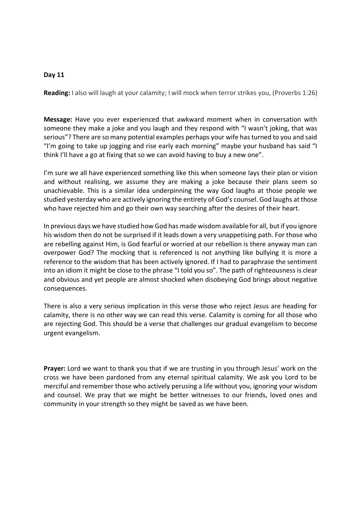**Reading:** I also will laugh at your calamity; I will mock when terror strikes you, (Proverbs 1:26)

**Message:** Have you ever experienced that awkward moment when in conversation with someone they make a joke and you laugh and they respond with "I wasn't joking, that was serious"? There are so many potential examples perhaps your wife has turned to you and said "I'm going to take up jogging and rise early each morning" maybe your husband has said "I think I'll have a go at fixing that so we can avoid having to buy a new one".

I'm sure we all have experienced something like this when someone lays their plan or vision and without realising, we assume they are making a joke because their plans seem so unachievable. This is a similar idea underpinning the way God laughs at those people we studied yesterday who are actively ignoring the entirety of God's counsel. God laughs at those who have rejected him and go their own way searching after the desires of their heart.

In previous days we have studied how God has made wisdom available for all, but if you ignore his wisdom then do not be surprised if it leads down a very unappetising path. For those who are rebelling against Him, is God fearful or worried at our rebellion is there anyway man can overpower God? The mocking that is referenced is not anything like bullying it is more a reference to the wisdom that has been actively ignored. If I had to paraphrase the sentiment into an idiom it might be close to the phrase "I told you so". The path of righteousness is clear and obvious and yet people are almost shocked when disobeying God brings about negative consequences.

There is also a very serious implication in this verse those who reject Jesus are heading for calamity, there is no other way we can read this verse. Calamity is coming for all those who are rejecting God. This should be a verse that challenges our gradual evangelism to become urgent evangelism.

**Prayer:** Lord we want to thank you that if we are trusting in you through Jesus' work on the cross we have been pardoned from any eternal spiritual calamity. We ask you Lord to be merciful and remember those who actively perusing a life without you, ignoring your wisdom and counsel. We pray that we might be better witnesses to our friends, loved ones and community in your strength so they might be saved as we have been.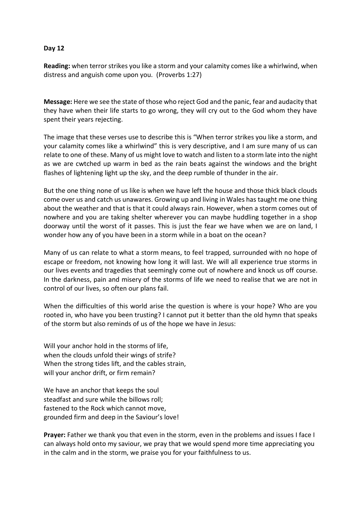**Reading:** when terror strikes you like a storm and your calamity comes like a whirlwind, when distress and anguish come upon you. (Proverbs 1:27)

**Message:** Here we see the state of those who reject God and the panic, fear and audacity that they have when their life starts to go wrong, they will cry out to the God whom they have spent their years rejecting.

The image that these verses use to describe this is "When terror strikes you like a storm, and your calamity comes like a whirlwind" this is very descriptive, and I am sure many of us can relate to one of these. Many of us might love to watch and listen to a storm late into the night as we are cwtched up warm in bed as the rain beats against the windows and the bright flashes of lightening light up the sky, and the deep rumble of thunder in the air.

But the one thing none of us like is when we have left the house and those thick black clouds come over us and catch us unawares. Growing up and living in Wales has taught me one thing about the weather and that is that it could always rain. However, when a storm comes out of nowhere and you are taking shelter wherever you can maybe huddling together in a shop doorway until the worst of it passes. This is just the fear we have when we are on land, I wonder how any of you have been in a storm while in a boat on the ocean?

Many of us can relate to what a storm means, to feel trapped, surrounded with no hope of escape or freedom, not knowing how long it will last. We will all experience true storms in our lives events and tragedies that seemingly come out of nowhere and knock us off course. In the darkness, pain and misery of the storms of life we need to realise that we are not in control of our lives, so often our plans fail.

When the difficulties of this world arise the question is where is your hope? Who are you rooted in, who have you been trusting? I cannot put it better than the old hymn that speaks of the storm but also reminds of us of the hope we have in Jesus:

Will your anchor hold in the storms of life, when the clouds unfold their wings of strife? When the strong tides lift, and the cables strain, will your anchor drift, or firm remain?

We have an anchor that keeps the soul steadfast and sure while the billows roll; fastened to the Rock which cannot move, grounded firm and deep in the Saviour's love!

**Prayer:** Father we thank you that even in the storm, even in the problems and issues I face I can always hold onto my saviour, we pray that we would spend more time appreciating you in the calm and in the storm, we praise you for your faithfulness to us.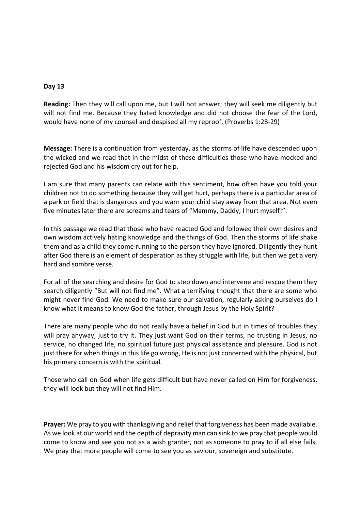**Reading:** Then they will call upon me, but I will not answer; they will seek me diligently but will not find me. Because they hated knowledge and did not choose the fear of the Lord, would have none of my counsel and despised all my reproof, (Proverbs 1:28-29)

**Message:** There is a continuation from yesterday, as the storms of life have descended upon the wicked and we read that in the midst of these difficulties those who have mocked and rejected God and his wisdom cry out for help.

I am sure that many parents can relate with this sentiment, how often have you told your children not to do something because they will get hurt, perhaps there is a particular area of a park or field that is dangerous and you warn your child stay away from that area. Not even five minutes later there are screams and tears of "Mammy, Daddy, I hurt myself!".

In this passage we read that those who have reacted God and followed their own desires and own wisdom actively hating knowledge and the things of God. Then the storms of life shake them and as a child they come running to the person they have ignored. Diligently they hunt after God there is an element of desperation as they struggle with life, but then we get a very hard and sombre verse.

For all of the searching and desire for God to step down and intervene and rescue them they search diligently "But will not find me". What a terrifying thought that there are some who might never find God. We need to make sure our salvation, regularly asking ourselves do I know what it means to know God the father, through Jesus by the Holy Spirit?

There are many people who do not really have a belief in God but in times of troubles they will pray anyway, just to try it. They just want God on their terms, no trusting in Jesus, no service, no changed life, no spiritual future just physical assistance and pleasure. God is not just there for when things in this life go wrong, He is not just concerned with the physical, but his primary concern is with the spiritual.

Those who call on God when life gets difficult but have never called on Him for forgiveness, they will look but they will not find Him.

**Prayer:** We pray to you with thanksgiving and relief that forgiveness has been made available. As we look at our world and the depth of depravity man can sink to we pray that people would come to know and see you not as a wish granter, not as someone to pray to if all else fails. We pray that more people will come to see you as saviour, sovereign and substitute.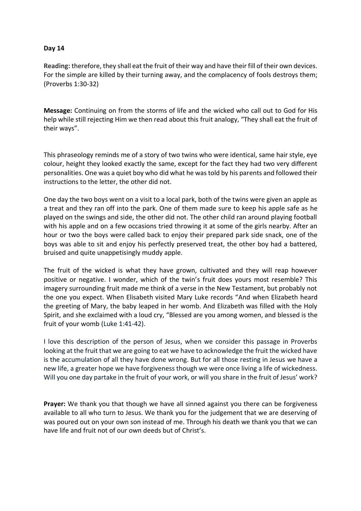**Reading:** therefore, they shall eat the fruit of their way and have their fill of their own devices. For the simple are killed by their turning away, and the complacency of fools destroys them; (Proverbs 1:30-32)

**Message:** Continuing on from the storms of life and the wicked who call out to God for His help while still rejecting Him we then read about this fruit analogy, "They shall eat the fruit of their ways".

This phraseology reminds me of a story of two twins who were identical, same hair style, eye colour, height they looked exactly the same, except for the fact they had two very different personalities. One was a quiet boy who did what he was told by his parents and followed their instructions to the letter, the other did not.

One day the two boys went on a visit to a local park, both of the twins were given an apple as a treat and they ran off into the park. One of them made sure to keep his apple safe as he played on the swings and side, the other did not. The other child ran around playing football with his apple and on a few occasions tried throwing it at some of the girls nearby. After an hour or two the boys were called back to enjoy their prepared park side snack, one of the boys was able to sit and enjoy his perfectly preserved treat, the other boy had a battered, bruised and quite unappetisingly muddy apple.

The fruit of the wicked is what they have grown, cultivated and they will reap however positive or negative. I wonder, which of the twin's fruit does yours most resemble? This imagery surrounding fruit made me think of a verse in the New Testament, but probably not the one you expect. When Elisabeth visited Mary Luke records "And when Elizabeth heard the greeting of Mary, the baby leaped in her womb. And Elizabeth was filled with the Holy Spirit, and she exclaimed with a loud cry, "Blessed are you among women, and blessed is the fruit of your womb (Luke 1:41-42).

I love this description of the person of Jesus, when we consider this passage in Proverbs looking at the fruit that we are going to eat we have to acknowledge the fruit the wicked have is the accumulation of all they have done wrong. But for all those resting in Jesus we have a new life, a greater hope we have forgiveness though we were once living a life of wickedness. Will you one day partake in the fruit of your work, or will you share in the fruit of Jesus' work?

**Prayer:** We thank you that though we have all sinned against you there can be forgiveness available to all who turn to Jesus. We thank you for the judgement that we are deserving of was poured out on your own son instead of me. Through his death we thank you that we can have life and fruit not of our own deeds but of Christ's.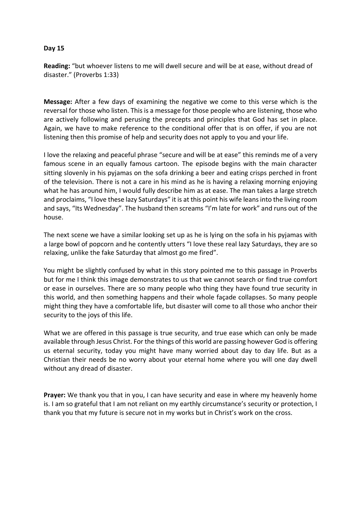**Reading:** "but whoever listens to me will dwell secure and will be at ease, without dread of disaster." (Proverbs 1:33)

**Message:** After a few days of examining the negative we come to this verse which is the reversal for those who listen. This is a message for those people who are listening, those who are actively following and perusing the precepts and principles that God has set in place. Again, we have to make reference to the conditional offer that is on offer, if you are not listening then this promise of help and security does not apply to you and your life.

I love the relaxing and peaceful phrase "secure and will be at ease" this reminds me of a very famous scene in an equally famous cartoon. The episode begins with the main character sitting slovenly in his pyjamas on the sofa drinking a beer and eating crisps perched in front of the television. There is not a care in his mind as he is having a relaxing morning enjoying what he has around him, I would fully describe him as at ease. The man takes a large stretch and proclaims, "I love these lazy Saturdays" it is at this point his wife leans into the living room and says, "Its Wednesday". The husband then screams "I'm late for work" and runs out of the house.

The next scene we have a similar looking set up as he is lying on the sofa in his pyjamas with a large bowl of popcorn and he contently utters "I love these real lazy Saturdays, they are so relaxing, unlike the fake Saturday that almost go me fired".

You might be slightly confused by what in this story pointed me to this passage in Proverbs but for me I think this image demonstrates to us that we cannot search or find true comfort or ease in ourselves. There are so many people who thing they have found true security in this world, and then something happens and their whole façade collapses. So many people might thing they have a comfortable life, but disaster will come to all those who anchor their security to the joys of this life.

What we are offered in this passage is true security, and true ease which can only be made available through Jesus Christ. For the things of this world are passing however God is offering us eternal security, today you might have many worried about day to day life. But as a Christian their needs be no worry about your eternal home where you will one day dwell without any dread of disaster.

**Prayer:** We thank you that in you, I can have security and ease in where my heavenly home is. I am so grateful that I am not reliant on my earthly circumstance's security or protection, I thank you that my future is secure not in my works but in Christ's work on the cross.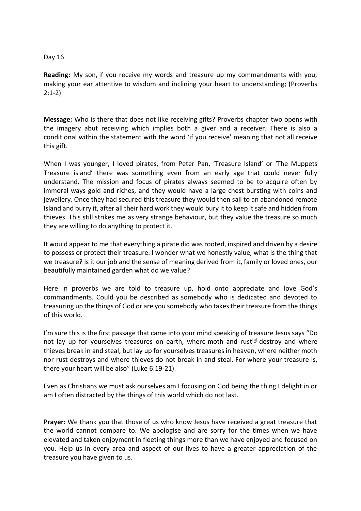**Reading:** My son, if you receive my words and treasure up my commandments with you, making your ear attentive to wisdom and inclining your heart to understanding; (Proverbs 2:1-2)

**Message:** Who is there that does not like receiving gifts? Proverbs chapter two opens with the imagery abut receiving which implies both a giver and a receiver. There is also a conditional within the statement with the word 'if you receive' meaning that not all receive this gift.

When I was younger, I loved pirates, from Peter Pan, 'Treasure Island' or 'The Muppets Treasure island' there was something even from an early age that could never fully understand. The mission and focus of pirates always seemed to be to acquire often by immoral ways gold and riches, and they would have a large chest bursting with coins and jewellery. Once they had secured this treasure they would then sail to an abandoned remote Island and burry it, after all their hard work they would bury it to keep it safe and hidden from thieves. This still strikes me as very strange behaviour, but they value the treasure so much they are willing to do anything to protect it.

It would appear to me that everything a pirate did was rooted, inspired and driven by a desire to possess or protect their treasure. I wonder what we honestly value, what is the thing that we treasure? Is it our job and the sense of meaning derived from it, family or loved ones, our beautifully maintained garden what do we value?

Here in proverbs we are told to treasure up, hold onto appreciate and love God's commandments. Could you be described as somebody who is dedicated and devoted to treasuring up the things of God or are you somebody who takes their treasure from the things of this world.

I'm sure this is the first passage that came into your mind speaking of treasure Jesus says "Do not lay up for yourselves treasures on earth, where moth and rust<sup>[\[a\]](https://www.biblegateway.com/passage/?search=Matthew+6%3A19-21&version=ESV#fen-ESV-23302a)</sup> destroy and where thieves break in and steal, but lay up for yourselves treasures in heaven, where neither moth nor rust destroys and where thieves do not break in and steal. For where your treasure is, there your heart will be also" (Luke 6:19-21).

Even as Christians we must ask ourselves am I focusing on God being the thing I delight in or am I often distracted by the things of this world which do not last.

**Prayer:** We thank you that those of us who know Jesus have received a great treasure that the world cannot compare to. We apologise and are sorry for the times when we have elevated and taken enjoyment in fleeting things more than we have enjoyed and focused on you. Help us in every area and aspect of our lives to have a greater appreciation of the treasure you have given to us.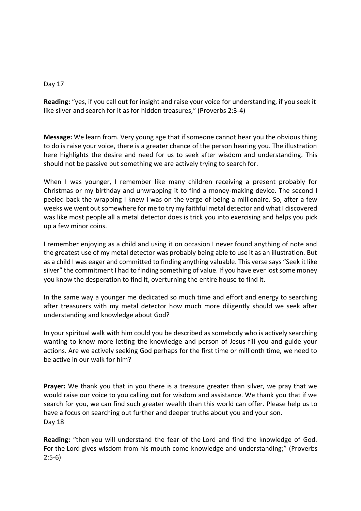**Reading:** "yes, if you call out for insight and raise your voice for understanding, if you seek it like silver and search for it as for hidden treasures," (Proverbs 2:3-4)

**Message:** We learn from. Very young age that if someone cannot hear you the obvious thing to do is raise your voice, there is a greater chance of the person hearing you. The illustration here highlights the desire and need for us to seek after wisdom and understanding. This should not be passive but something we are actively trying to search for.

When I was younger, I remember like many children receiving a present probably for Christmas or my birthday and unwrapping it to find a money-making device. The second I peeled back the wrapping I knew I was on the verge of being a millionaire. So, after a few weeks we went out somewhere for me to try my faithful metal detector and what I discovered was like most people all a metal detector does is trick you into exercising and helps you pick up a few minor coins.

I remember enjoying as a child and using it on occasion I never found anything of note and the greatest use of my metal detector was probably being able to use it as an illustration. But as a child I was eager and committed to finding anything valuable. This verse says "Seek it like silver" the commitment I had to finding something of value. If you have ever lost some money you know the desperation to find it, overturning the entire house to find it.

In the same way a younger me dedicated so much time and effort and energy to searching after treasurers with my metal detector how much more diligently should we seek after understanding and knowledge about God?

In your spiritual walk with him could you be described as somebody who is actively searching wanting to know more letting the knowledge and person of Jesus fill you and guide your actions. Are we actively seeking God perhaps for the first time or millionth time, we need to be active in our walk for him?

**Prayer:** We thank you that in you there is a treasure greater than silver, we pray that we would raise our voice to you calling out for wisdom and assistance. We thank you that if we search for you, we can find such greater wealth than this world can offer. Please help us to have a focus on searching out further and deeper truths about you and your son. Day 18

**Reading:** "then you will understand the fear of the Lord and find the knowledge of God. For the Lord gives wisdom from his mouth come knowledge and understanding;" (Proverbs 2:5-6)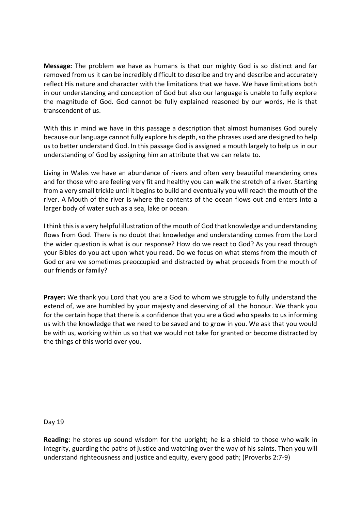**Message:** The problem we have as humans is that our mighty God is so distinct and far removed from us it can be incredibly difficult to describe and try and describe and accurately reflect His nature and character with the limitations that we have. We have limitations both in our understanding and conception of God but also our language is unable to fully explore the magnitude of God. God cannot be fully explained reasoned by our words, He is that transcendent of us.

With this in mind we have in this passage a description that almost humanises God purely because our language cannot fully explore his depth, so the phrases used are designed to help us to better understand God. In this passage God is assigned a mouth largely to help us in our understanding of God by assigning him an attribute that we can relate to.

Living in Wales we have an abundance of rivers and often very beautiful meandering ones and for those who are feeling very fit and healthy you can walk the stretch of a river. Starting from a very small trickle until it begins to build and eventually you will reach the mouth of the river. A Mouth of the river is where the contents of the ocean flows out and enters into a larger body of water such as a sea, lake or ocean.

I think this is a very helpful illustration of the mouth of God that knowledge and understanding flows from God. There is no doubt that knowledge and understanding comes from the Lord the wider question is what is our response? How do we react to God? As you read through your Bibles do you act upon what you read. Do we focus on what stems from the mouth of God or are we sometimes preoccupied and distracted by what proceeds from the mouth of our friends or family?

**Prayer:** We thank you Lord that you are a God to whom we struggle to fully understand the extend of, we are humbled by your majesty and deserving of all the honour. We thank you for the certain hope that there is a confidence that you are a God who speaks to us informing us with the knowledge that we need to be saved and to grow in you. We ask that you would be with us, working within us so that we would not take for granted or become distracted by the things of this world over you.

Day 19

**Reading:** he stores up sound wisdom for the upright; he is a shield to those who walk in integrity, guarding the paths of justice and watching over the way of his saints. Then you will understand righteousness and justice and equity, every good path; (Proverbs 2:7-9)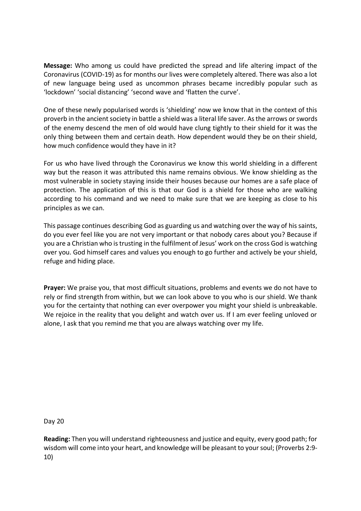**Message:** Who among us could have predicted the spread and life altering impact of the Coronavirus (COVID-19) as for months our lives were completely altered. There was also a lot of new language being used as uncommon phrases became incredibly popular such as 'lockdown' 'social distancing' 'second wave and 'flatten the curve'.

One of these newly popularised words is 'shielding' now we know that in the context of this proverb in the ancient society in battle a shield was a literal life saver. As the arrows or swords of the enemy descend the men of old would have clung tightly to their shield for it was the only thing between them and certain death. How dependent would they be on their shield, how much confidence would they have in it?

For us who have lived through the Coronavirus we know this world shielding in a different way but the reason it was attributed this name remains obvious. We know shielding as the most vulnerable in society staying inside their houses because our homes are a safe place of protection. The application of this is that our God is a shield for those who are walking according to his command and we need to make sure that we are keeping as close to his principles as we can.

This passage continues describing God as guarding us and watching over the way of his saints, do you ever feel like you are not very important or that nobody cares about you? Because if you are a Christian who is trusting in the fulfilment of Jesus' work on the cross God is watching over you. God himself cares and values you enough to go further and actively be your shield, refuge and hiding place.

**Prayer:** We praise you, that most difficult situations, problems and events we do not have to rely or find strength from within, but we can look above to you who is our shield. We thank you for the certainty that nothing can ever overpower you might your shield is unbreakable. We rejoice in the reality that you delight and watch over us. If I am ever feeling unloved or alone, I ask that you remind me that you are always watching over my life.

Day 20

**Reading:** Then you will understand righteousness and justice and equity, every good path; for wisdom will come into your heart, and knowledge will be pleasant to your soul; (Proverbs 2:9- 10)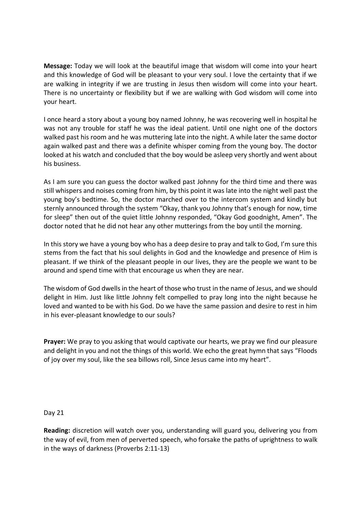**Message:** Today we will look at the beautiful image that wisdom will come into your heart and this knowledge of God will be pleasant to your very soul. I love the certainty that if we are walking in integrity if we are trusting in Jesus then wisdom will come into your heart. There is no uncertainty or flexibility but if we are walking with God wisdom will come into your heart.

I once heard a story about a young boy named Johnny, he was recovering well in hospital he was not any trouble for staff he was the ideal patient. Until one night one of the doctors walked past his room and he was muttering late into the night. A while later the same doctor again walked past and there was a definite whisper coming from the young boy. The doctor looked at his watch and concluded that the boy would be asleep very shortly and went about his business.

As I am sure you can guess the doctor walked past Johnny for the third time and there was still whispers and noises coming from him, by this point it was late into the night well past the young boy's bedtime. So, the doctor marched over to the intercom system and kindly but sternly announced through the system "Okay, thank you Johnny that's enough for now, time for sleep" then out of the quiet little Johnny responded, "Okay God goodnight, Amen". The doctor noted that he did not hear any other mutterings from the boy until the morning.

In this story we have a young boy who has a deep desire to pray and talk to God, I'm sure this stems from the fact that his soul delights in God and the knowledge and presence of Him is pleasant. If we think of the pleasant people in our lives, they are the people we want to be around and spend time with that encourage us when they are near.

The wisdom of God dwells in the heart of those who trust in the name of Jesus, and we should delight in Him. Just like little Johnny felt compelled to pray long into the night because he loved and wanted to be with his God. Do we have the same passion and desire to rest in him in his ever-pleasant knowledge to our souls?

**Prayer:** We pray to you asking that would captivate our hearts, we pray we find our pleasure and delight in you and not the things of this world. We echo the great hymn that says "Floods of joy over my soul, like the sea billows roll, Since Jesus came into my heart".

Day 21

**Reading:** discretion will watch over you, understanding will guard you, delivering you from the way of evil, from men of perverted speech, who forsake the paths of uprightness to walk in the ways of darkness (Proverbs 2:11-13)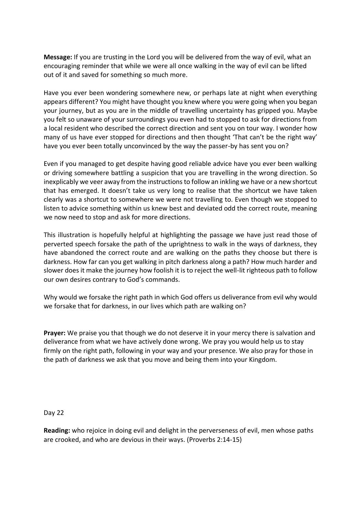**Message:** If you are trusting in the Lord you will be delivered from the way of evil, what an encouraging reminder that while we were all once walking in the way of evil can be lifted out of it and saved for something so much more.

Have you ever been wondering somewhere new, or perhaps late at night when everything appears different? You might have thought you knew where you were going when you began your journey, but as you are in the middle of travelling uncertainty has gripped you. Maybe you felt so unaware of your surroundings you even had to stopped to ask for directions from a local resident who described the correct direction and sent you on tour way. I wonder how many of us have ever stopped for directions and then thought 'That can't be the right way' have you ever been totally unconvinced by the way the passer-by has sent you on?

Even if you managed to get despite having good reliable advice have you ever been walking or driving somewhere battling a suspicion that you are travelling in the wrong direction. So inexplicably we veer away from the instructions to follow an inkling we have or a new shortcut that has emerged. It doesn't take us very long to realise that the shortcut we have taken clearly was a shortcut to somewhere we were not travelling to. Even though we stopped to listen to advice something within us knew best and deviated odd the correct route, meaning we now need to stop and ask for more directions.

This illustration is hopefully helpful at highlighting the passage we have just read those of perverted speech forsake the path of the uprightness to walk in the ways of darkness, they have abandoned the correct route and are walking on the paths they choose but there is darkness. How far can you get walking in pitch darkness along a path? How much harder and slower does it make the journey how foolish it is to reject the well-lit righteous path to follow our own desires contrary to God's commands.

Why would we forsake the right path in which God offers us deliverance from evil why would we forsake that for darkness, in our lives which path are walking on?

**Prayer:** We praise you that though we do not deserve it in your mercy there is salvation and deliverance from what we have actively done wrong. We pray you would help us to stay firmly on the right path, following in your way and your presence. We also pray for those in the path of darkness we ask that you move and being them into your Kingdom.

Day 22

**Reading:** who rejoice in doing evil and delight in the perverseness of evil, men whose paths are crooked, and who are devious in their ways. (Proverbs 2:14-15)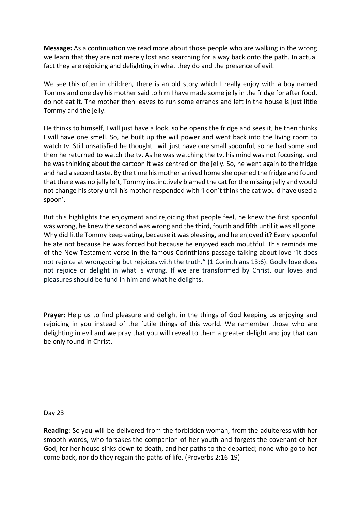**Message:** As a continuation we read more about those people who are walking in the wrong we learn that they are not merely lost and searching for a way back onto the path. In actual fact they are rejoicing and delighting in what they do and the presence of evil.

We see this often in children, there is an old story which I really enjoy with a boy named Tommy and one day his mother said to him I have made some jelly in the fridge for after food, do not eat it. The mother then leaves to run some errands and left in the house is just little Tommy and the jelly.

He thinks to himself, I will just have a look, so he opens the fridge and sees it, he then thinks I will have one smell. So, he built up the will power and went back into the living room to watch tv. Still unsatisfied he thought I will just have one small spoonful, so he had some and then he returned to watch the tv. As he was watching the tv, his mind was not focusing, and he was thinking about the cartoon it was centred on the jelly. So, he went again to the fridge and had a second taste. By the time his mother arrived home she opened the fridge and found that there was no jelly left, Tommy instinctively blamed the cat for the missing jelly and would not change his story until his mother responded with 'I don't think the cat would have used a spoon'.

But this highlights the enjoyment and rejoicing that people feel, he knew the first spoonful was wrong, he knew the second was wrong and the third, fourth and fifth until it was all gone. Why did little Tommy keep eating, because it was pleasing, and he enjoyed it? Every spoonful he ate not because he was forced but because he enjoyed each mouthful. This reminds me of the New Testament verse in the famous Corinthians passage talking about love "It does not rejoice at wrongdoing but rejoices with the truth." (1 Corinthians 13:6). Godly love does not rejoice or delight in what is wrong. If we are transformed by Christ, our loves and pleasures should be fund in him and what he delights.

**Prayer:** Help us to find pleasure and delight in the things of God keeping us enjoying and rejoicing in you instead of the futile things of this world. We remember those who are delighting in evil and we pray that you will reveal to them a greater delight and joy that can be only found in Christ.

Day 23

**Reading:** So you will be delivered from the forbidden woman, from the adulteress with her smooth words, who forsakes the companion of her youth and forgets the covenant of her God; for her house sinks down to death, and her paths to the departed; none who go to her come back, nor do they regain the paths of life. (Proverbs 2:16-19)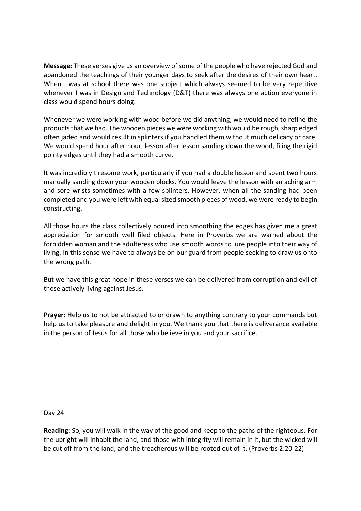**Message:** These verses give us an overview of some of the people who have rejected God and abandoned the teachings of their younger days to seek after the desires of their own heart. When I was at school there was one subject which always seemed to be very repetitive whenever I was in Design and Technology (D&T) there was always one action everyone in class would spend hours doing.

Whenever we were working with wood before we did anything, we would need to refine the products that we had. The wooden pieces we were working with would be rough, sharp edged often jaded and would result in splinters if you handled them without much delicacy or care. We would spend hour after hour, lesson after lesson sanding down the wood, filing the rigid pointy edges until they had a smooth curve.

It was incredibly tiresome work, particularly if you had a double lesson and spent two hours manually sanding down your wooden blocks. You would leave the lesson with an aching arm and sore wrists sometimes with a few splinters. However, when all the sanding had been completed and you were left with equal sized smooth pieces of wood, we were ready to begin constructing.

All those hours the class collectively poured into smoothing the edges has given me a great appreciation for smooth well filed objects. Here in Proverbs we are warned about the forbidden woman and the adulteress who use smooth words to lure people into their way of living. In this sense we have to always be on our guard from people seeking to draw us onto the wrong path.

But we have this great hope in these verses we can be delivered from corruption and evil of those actively living against Jesus.

**Prayer:** Help us to not be attracted to or drawn to anything contrary to your commands but help us to take pleasure and delight in you. We thank you that there is deliverance available in the person of Jesus for all those who believe in you and your sacrifice.

Day 24

**Reading:** So, you will walk in the way of the good and keep to the paths of the righteous. For the upright will inhabit the land, and those with integrity will remain in it, but the wicked will be cut off from the land, and the treacherous will be rooted out of it. (Proverbs 2:20-22)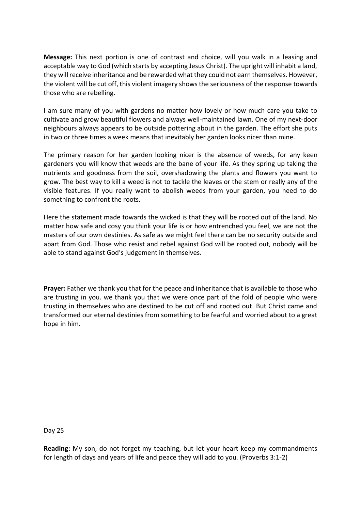**Message:** This next portion is one of contrast and choice, will you walk in a leasing and acceptable way to God (which starts by accepting Jesus Christ). The upright will inhabit a land, they will receive inheritance and be rewarded what they could not earn themselves. However, the violent will be cut off, this violent imagery shows the seriousness of the response towards those who are rebelling.

I am sure many of you with gardens no matter how lovely or how much care you take to cultivate and grow beautiful flowers and always well-maintained lawn. One of my next-door neighbours always appears to be outside pottering about in the garden. The effort she puts in two or three times a week means that inevitably her garden looks nicer than mine.

The primary reason for her garden looking nicer is the absence of weeds, for any keen gardeners you will know that weeds are the bane of your life. As they spring up taking the nutrients and goodness from the soil, overshadowing the plants and flowers you want to grow. The best way to kill a weed is not to tackle the leaves or the stem or really any of the visible features. If you really want to abolish weeds from your garden, you need to do something to confront the roots.

Here the statement made towards the wicked is that they will be rooted out of the land. No matter how safe and cosy you think your life is or how entrenched you feel, we are not the masters of our own destinies. As safe as we might feel there can be no security outside and apart from God. Those who resist and rebel against God will be rooted out, nobody will be able to stand against God's judgement in themselves.

**Prayer:** Father we thank you that for the peace and inheritance that is available to those who are trusting in you. we thank you that we were once part of the fold of people who were trusting in themselves who are destined to be cut off and rooted out. But Christ came and transformed our eternal destinies from something to be fearful and worried about to a great hope in him.

Day 25

**Reading:** My son, do not forget my teaching, but let your heart keep my commandments for length of days and years of life and peace they will add to you. (Proverbs 3:1-2)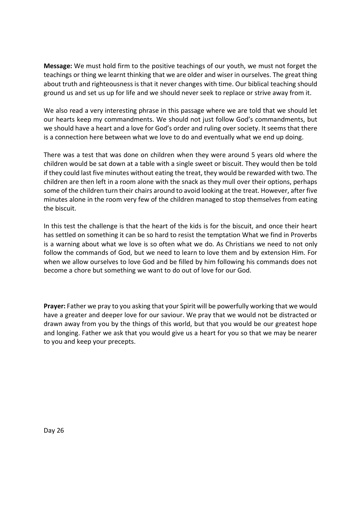**Message:** We must hold firm to the positive teachings of our youth, we must not forget the teachings or thing we learnt thinking that we are older and wiser in ourselves. The great thing about truth and righteousness is that it never changes with time. Our biblical teaching should ground us and set us up for life and we should never seek to replace or strive away from it.

We also read a very interesting phrase in this passage where we are told that we should let our hearts keep my commandments. We should not just follow God's commandments, but we should have a heart and a love for God's order and ruling over society. It seems that there is a connection here between what we love to do and eventually what we end up doing.

There was a test that was done on children when they were around 5 years old where the children would be sat down at a table with a single sweet or biscuit. They would then be told if they could last five minutes without eating the treat, they would be rewarded with two. The children are then left in a room alone with the snack as they mull over their options, perhaps some of the children turn their chairs around to avoid looking at the treat. However, after five minutes alone in the room very few of the children managed to stop themselves from eating the biscuit.

In this test the challenge is that the heart of the kids is for the biscuit, and once their heart has settled on something it can be so hard to resist the temptation What we find in Proverbs is a warning about what we love is so often what we do. As Christians we need to not only follow the commands of God, but we need to learn to love them and by extension Him. For when we allow ourselves to love God and be filled by him following his commands does not become a chore but something we want to do out of love for our God.

**Prayer:** Father we pray to you asking that your Spirit will be powerfully working that we would have a greater and deeper love for our saviour. We pray that we would not be distracted or drawn away from you by the things of this world, but that you would be our greatest hope and longing. Father we ask that you would give us a heart for you so that we may be nearer to you and keep your precepts.

Day 26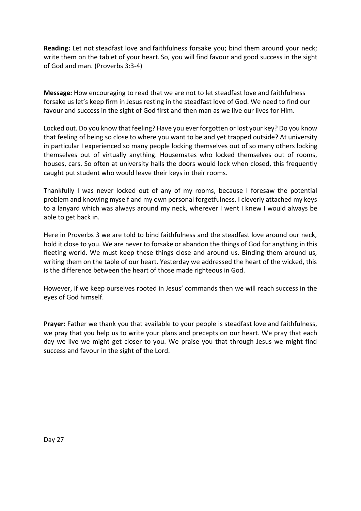**Reading:** Let not steadfast love and faithfulness forsake you; bind them around your neck; write them on the tablet of your heart. So, you will find favour and good success in the sight of God and man. (Proverbs 3:3-4)

**Message:** How encouraging to read that we are not to let steadfast love and faithfulness forsake us let's keep firm in Jesus resting in the steadfast love of God. We need to find our favour and success in the sight of God first and then man as we live our lives for Him.

Locked out. Do you know that feeling? Have you ever forgotten or lost your key? Do you know that feeling of being so close to where you want to be and yet trapped outside? At university in particular I experienced so many people locking themselves out of so many others locking themselves out of virtually anything. Housemates who locked themselves out of rooms, houses, cars. So often at university halls the doors would lock when closed, this frequently caught put student who would leave their keys in their rooms.

Thankfully I was never locked out of any of my rooms, because I foresaw the potential problem and knowing myself and my own personal forgetfulness. I cleverly attached my keys to a lanyard which was always around my neck, wherever I went I knew I would always be able to get back in.

Here in Proverbs 3 we are told to bind faithfulness and the steadfast love around our neck, hold it close to you. We are never to forsake or abandon the things of God for anything in this fleeting world. We must keep these things close and around us. Binding them around us, writing them on the table of our heart. Yesterday we addressed the heart of the wicked, this is the difference between the heart of those made righteous in God.

However, if we keep ourselves rooted in Jesus' commands then we will reach success in the eyes of God himself.

**Prayer:** Father we thank you that available to your people is steadfast love and faithfulness, we pray that you help us to write your plans and precepts on our heart. We pray that each day we live we might get closer to you. We praise you that through Jesus we might find success and favour in the sight of the Lord.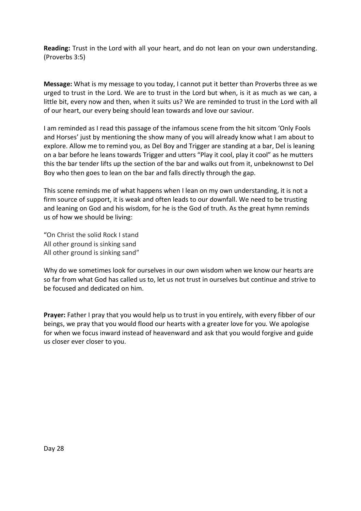**Reading:** Trust in the Lord with all your heart, and do not lean on your own understanding. (Proverbs 3:5)

**Message:** What is my message to you today, I cannot put it better than Proverbs three as we urged to trust in the Lord. We are to trust in the Lord but when, is it as much as we can, a little bit, every now and then, when it suits us? We are reminded to trust in the Lord with all of our heart, our every being should lean towards and love our saviour.

I am reminded as I read this passage of the infamous scene from the hit sitcom 'Only Fools and Horses' just by mentioning the show many of you will already know what I am about to explore. Allow me to remind you, as Del Boy and Trigger are standing at a bar, Del is leaning on a bar before he leans towards Trigger and utters "Play it cool, play it cool" as he mutters this the bar tender lifts up the section of the bar and walks out from it, unbeknownst to Del Boy who then goes to lean on the bar and falls directly through the gap.

This scene reminds me of what happens when I lean on my own understanding, it is not a firm source of support, it is weak and often leads to our downfall. We need to be trusting and leaning on God and his wisdom, for he is the God of truth. As the great hymn reminds us of how we should be living:

"On Christ the solid Rock I stand All other ground is sinking sand All other ground is sinking sand"

Why do we sometimes look for ourselves in our own wisdom when we know our hearts are so far from what God has called us to, let us not trust in ourselves but continue and strive to be focused and dedicated on him.

**Prayer:** Father I pray that you would help us to trust in you entirely, with every fibber of our beings, we pray that you would flood our hearts with a greater love for you. We apologise for when we focus inward instead of heavenward and ask that you would forgive and guide us closer ever closer to you.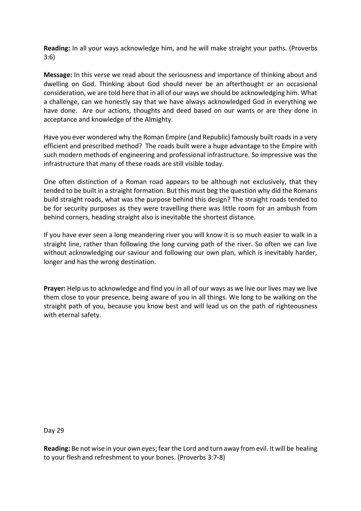**Reading:** In all your ways acknowledge him, and he will make straight your paths. (Proverbs 3:6)

**Message:** In this verse we read about the seriousness and importance of thinking about and dwelling on God. Thinking about God should never be an afterthought or an occasional consideration, we are told here that in all of our ways we should be acknowledging him. What a challenge, can we honestly say that we have always acknowledged God in everything we have done. Are our actions, thoughts and deed based on our wants or are they done in acceptance and knowledge of the Almighty.

Have you ever wondered why the Roman Empire (and Republic) famously built roads in a very efficient and prescribed method? The roads built were a huge advantage to the Empire with such modern methods of engineering and professional infrastructure. So impressive was the infrastructure that many of these roads are still visible today.

One often distinction of a Roman road appears to be although not exclusively, that they tended to be built in a straight formation. But this must beg the question why did the Romans build straight roads, what was the purpose behind this design? The straight roads tended to be for security purposes as they were travelling there was little room for an ambush from behind corners, heading straight also is inevitable the shortest distance.

If you have ever seen a long meandering river you will know it is so much easier to walk in a straight line, rather than following the long curving path of the river. So often we can live without acknowledging our saviour and following our own plan, which is inevitably harder, longer and has the wrong destination.

**Prayer:** Help us to acknowledge and find you in all of our ways as we live our lives may we live them close to your presence, being aware of you in all things. We long to be walking on the straight path of you, because you know best and will lead us on the path of righteousness with eternal safety.

Day 29

**Reading:** Be not wise in your own eyes; fear the Lord and turn away from evil. It will be healing to your fleshand refreshment to your bones. (Proverbs 3:7-8)